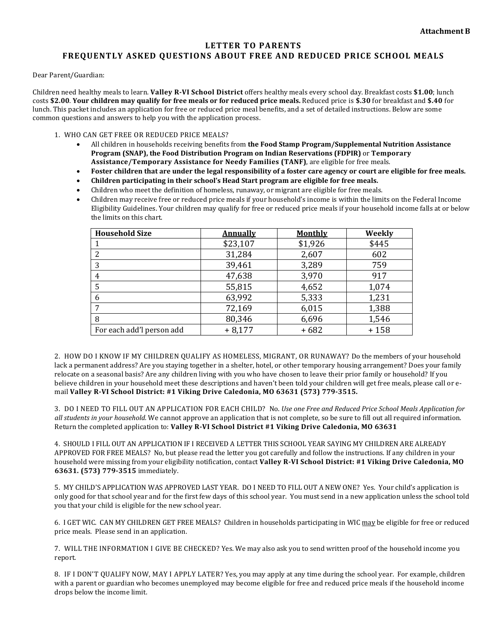## **LETTER TO PARENTS FREQUENTLY ASKED QUESTIONS ABOUT FREE AND REDUCED PRICE SCHOOL MEALS**

Dear Parent/Guardian:

Children need healthy meals to learn. **Valley R-VI School District** offers healthy meals every school day. Breakfast costs **\$1.00**; lunch costs **\$2.00**. **Your children may qualify for free meals or for reduced price meals.** Reduced price is **\$.30** for breakfast and **\$.40** for lunch. This packet includes an application for free or reduced price meal benefits, and a set of detailed instructions. Below are some common questions and answers to help you with the application process.

- 1. WHO CAN GET FREE OR REDUCED PRICE MEALS?
	- All children in households receiving benefits from **the Food Stamp Program/Supplemental Nutrition Assistance Program (SNAP), the Food Distribution Program on Indian Reservations (FDPIR)** or **Temporary Assistance/Temporary Assistance for Needy Families (TANF)**, are eligible for free meals.
	- **Foster children that are under the legal responsibility of a foster care agency or court are eligible for free meals.**
	- **Children participating in their school's Head Start program are eligible for free meals.**
	- Children who meet the definition of homeless, runaway, or migrant are eligible for free meals.
	- Children may receive free or reduced price meals if your household's income is within the limits on the Federal Income Eligibility Guidelines. Your children may qualify for free or reduced price meals if your household income falls at or below the limits on this chart.

| <b>Household Size</b>     | <u>Annually</u> | <b>Monthly</b> | Weekly |
|---------------------------|-----------------|----------------|--------|
|                           | \$23,107        | \$1,926        | \$445  |
| 2                         | 31,284          | 2,607          | 602    |
| 3                         | 39,461          | 3,289          | 759    |
| $\overline{4}$            | 47,638          | 3,970          | 917    |
| 5                         | 55,815          | 4,652          | 1,074  |
| 6                         | 63,992          | 5,333          | 1,231  |
|                           | 72,169          | 6,015          | 1,388  |
| 8                         | 80,346          | 6,696          | 1,546  |
| For each add'l person add | $+8,177$        | $+682$         | $+158$ |

2. HOW DO I KNOW IF MY CHILDREN QUALIFY AS HOMELESS, MIGRANT, OR RUNAWAY? Do the members of your household lack a permanent address? Are you staying together in a shelter, hotel, or other temporary housing arrangement? Does your family relocate on a seasonal basis? Are any children living with you who have chosen to leave their prior family or household? If you believe children in your household meet these descriptions and haven't been told your children will get free meals, please call or email **Valley R-VI School District: #1 Viking Drive Caledonia, MO 63631 (573) 779-3515.**

3. DO I NEED TO FILL OUT AN APPLICATION FOR EACH CHILD? No. *Use one Free and Reduced Price School Meals Application for all students in your household.* We cannot approve an application that is not complete, so be sure to fill out all required information. Return the completed application to: **Valley R-VI School District #1 Viking Drive Caledonia, MO 63631**

4. SHOULD I FILL OUT AN APPLICATION IF I RECEIVED A LETTER THIS SCHOOL YEAR SAYING MY CHILDREN ARE ALREADY APPROVED FOR FREE MEALS? No, but please read the letter you got carefully and follow the instructions. If any children in your household were missing from your eligibility notification, contact **Valley R-VI School District: #1 Viking Drive Caledonia, MO 63631. (573) 779-3515** immediately.

5. MY CHILD'S APPLICATION WAS APPROVED LAST YEAR. DO I NEED TO FILL OUT A NEW ONE? Yes. Your child's application is only good for that school year and for the first few days of this school year. You must send in a new application unless the school told you that your child is eligible for the new school year.

6. I GET WIC. CAN MY CHILDREN GET FREE MEALS? Children in households participating in WIC may be eligible for free or reduced price meals. Please send in an application.

7. WILL THE INFORMATION I GIVE BE CHECKED? Yes. We may also ask you to send written proof of the household income you report.

8. IF I DON'T QUALIFY NOW, MAY I APPLY LATER? Yes, you may apply at any time during the school year. For example, children with a parent or guardian who becomes unemployed may become eligible for free and reduced price meals if the household income drops below the income limit.